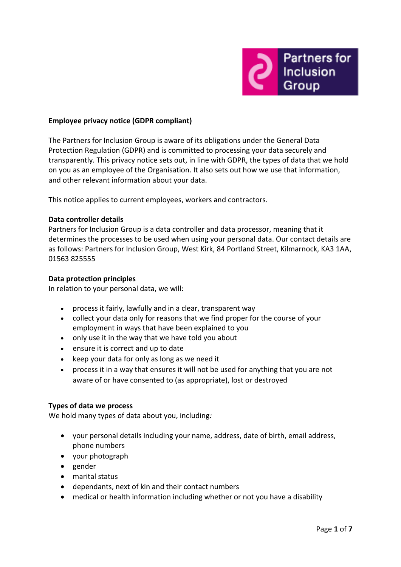

## **Employee privacy notice (GDPR compliant)**

The Partners for Inclusion Group is aware of its obligations under the General Data Protection Regulation (GDPR) and is committed to processing your data securely and transparently. This privacy notice sets out, in line with GDPR, the types of data that we hold on you as an employee of the Organisation. It also sets out how we use that information, and other relevant information about your data.

This notice applies to current employees, workers and contractors.

#### **Data controller details**

Partners for Inclusion Group is a data controller and data processor, meaning that it determines the processes to be used when using your personal data. Our contact details are as follows: Partners for Inclusion Group, West Kirk, 84 Portland Street, Kilmarnock, KA3 1AA, 01563 825555

#### **Data protection principles**

In relation to your personal data, we will:

- process it fairly, lawfully and in a clear, transparent way
- collect your data only for reasons that we find proper for the course of your employment in ways that have been explained to you
- only use it in the way that we have told you about
- ensure it is correct and up to date
- $\bullet$  keep your data for only as long as we need it
- process it in a way that ensures it will not be used for anything that you are not aware of or have consented to (as appropriate), lost or destroyed

## **Types of data we process**

We hold many types of data about you, including*:*

- your personal details including your name, address, date of birth, email address, phone numbers
- your photograph
- gender
- marital status
- dependants, next of kin and their contact numbers
- medical or health information including whether or not you have a disability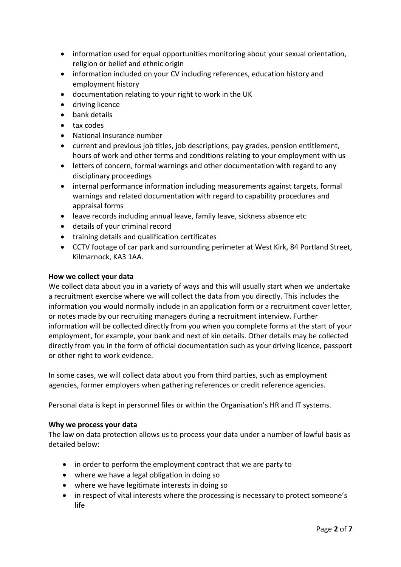- information used for equal opportunities monitoring about your sexual orientation, religion or belief and ethnic origin
- information included on your CV including references, education history and employment history
- documentation relating to your right to work in the UK
- **•** driving licence
- bank details
- tax codes
- National Insurance number
- current and previous job titles, job descriptions, pay grades, pension entitlement, hours of work and other terms and conditions relating to your employment with us
- letters of concern, formal warnings and other documentation with regard to any disciplinary proceedings
- internal performance information including measurements against targets, formal warnings and related documentation with regard to capability procedures and appraisal forms
- leave records including annual leave, family leave, sickness absence etc
- details of your criminal record
- training details and qualification certificates
- CCTV footage of car park and surrounding perimeter at West Kirk, 84 Portland Street, Kilmarnock, KA3 1AA.

#### **How we collect your data**

We collect data about you in a variety of ways and this will usually start when we undertake a recruitment exercise where we will collect the data from you directly. This includes the information you would normally include in an application form or a recruitment cover letter, or notes made by our recruiting managers during a recruitment interview. Further information will be collected directly from you when you complete forms at the start of your employment, for example, your bank and next of kin details. Other details may be collected directly from you in the form of official documentation such as your driving licence, passport or other right to work evidence.

In some cases, we will collect data about you from third parties, such as employment agencies, former employers when gathering references or credit reference agencies.

Personal data is kept in personnel files or within the Organisation's HR and IT systems.

## **Why we process your data**

The law on data protection allows us to process your data under a number of lawful basis as detailed below:

- in order to perform the employment contract that we are party to
- where we have a legal obligation in doing so
- where we have legitimate interests in doing so
- in respect of vital interests where the processing is necessary to protect someone's life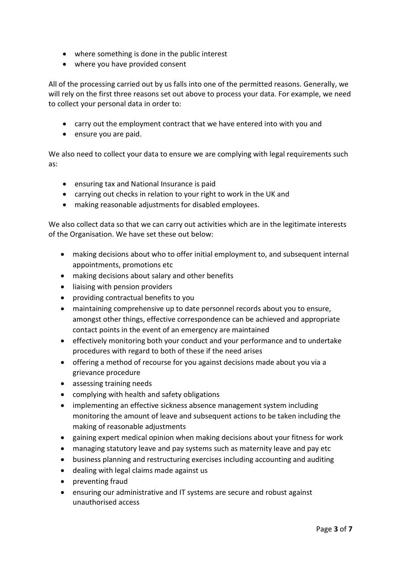- where something is done in the public interest
- where you have provided consent

All of the processing carried out by us falls into one of the permitted reasons. Generally, we will rely on the first three reasons set out above to process your data. For example, we need to collect your personal data in order to:

- carry out the employment contract that we have entered into with you and
- ensure you are paid.

We also need to collect your data to ensure we are complying with legal requirements such as:

- ensuring tax and National Insurance is paid
- carrying out checks in relation to your right to work in the UK and
- making reasonable adjustments for disabled employees.

We also collect data so that we can carry out activities which are in the legitimate interests of the Organisation. We have set these out below:

- making decisions about who to offer initial employment to, and subsequent internal appointments, promotions etc
- making decisions about salary and other benefits
- liaising with pension providers
- providing contractual benefits to you
- maintaining comprehensive up to date personnel records about you to ensure, amongst other things, effective correspondence can be achieved and appropriate contact points in the event of an emergency are maintained
- effectively monitoring both your conduct and your performance and to undertake procedures with regard to both of these if the need arises
- offering a method of recourse for you against decisions made about you via a grievance procedure
- assessing training needs
- complying with health and safety obligations
- implementing an effective sickness absence management system including monitoring the amount of leave and subsequent actions to be taken including the making of reasonable adjustments
- gaining expert medical opinion when making decisions about your fitness for work
- managing statutory leave and pay systems such as maternity leave and pay etc
- business planning and restructuring exercises including accounting and auditing
- dealing with legal claims made against us
- preventing fraud
- ensuring our administrative and IT systems are secure and robust against unauthorised access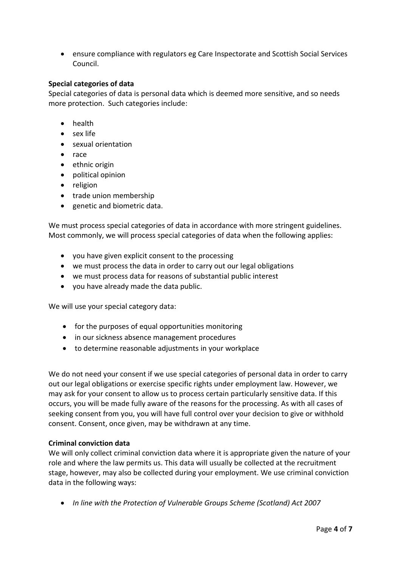ensure compliance with regulators eg Care Inspectorate and Scottish Social Services Council.

## **Special categories of data**

Special categories of data is personal data which is deemed more sensitive, and so needs more protection. Such categories include:

- health
- sex life
- sexual orientation
- race
- ethnic origin
- political opinion
- religion
- trade union membership
- genetic and biometric data.

We must process special categories of data in accordance with more stringent guidelines. Most commonly, we will process special categories of data when the following applies:

- you have given explicit consent to the processing
- we must process the data in order to carry out our legal obligations
- we must process data for reasons of substantial public interest
- you have already made the data public.

We will use your special category data:

- for the purposes of equal opportunities monitoring
- in our sickness absence management procedures
- to determine reasonable adjustments in your workplace

We do not need your consent if we use special categories of personal data in order to carry out our legal obligations or exercise specific rights under employment law. However, we may ask for your consent to allow us to process certain particularly sensitive data. If this occurs, you will be made fully aware of the reasons for the processing. As with all cases of seeking consent from you, you will have full control over your decision to give or withhold consent. Consent, once given, may be withdrawn at any time.

## **Criminal conviction data**

We will only collect criminal conviction data where it is appropriate given the nature of your role and where the law permits us. This data will usually be collected at the recruitment stage, however, may also be collected during your employment. We use criminal conviction data in the following ways:

*In line with the Protection of Vulnerable Groups Scheme (Scotland) Act 2007*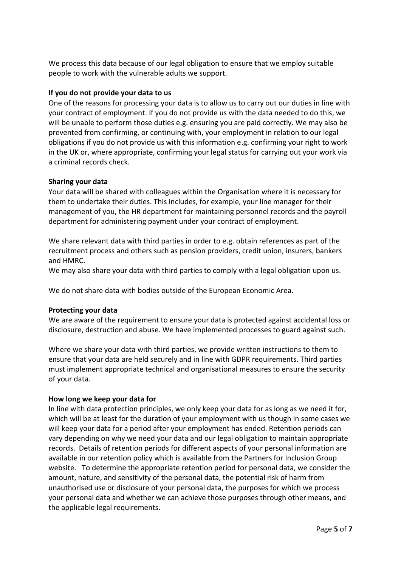We process this data because of our legal obligation to ensure that we employ suitable people to work with the vulnerable adults we support.

## **If you do not provide your data to us**

One of the reasons for processing your data is to allow us to carry out our duties in line with your contract of employment. If you do not provide us with the data needed to do this, we will be unable to perform those duties e.g. ensuring you are paid correctly. We may also be prevented from confirming, or continuing with, your employment in relation to our legal obligations if you do not provide us with this information e.g. confirming your right to work in the UK or, where appropriate, confirming your legal status for carrying out your work via a criminal records check.

## **Sharing your data**

Your data will be shared with colleagues within the Organisation where it is necessary for them to undertake their duties. This includes, for example, your line manager for their management of you, the HR department for maintaining personnel records and the payroll department for administering payment under your contract of employment.

We share relevant data with third parties in order to e.g. obtain references as part of the recruitment process and others such as pension providers, credit union, insurers, bankers and HMRC.

We may also share your data with third parties to comply with a legal obligation upon us.

We do not share data with bodies outside of the European Economic Area.

# **Protecting your data**

We are aware of the requirement to ensure your data is protected against accidental loss or disclosure, destruction and abuse. We have implemented processes to guard against such.

Where we share your data with third parties, we provide written instructions to them to ensure that your data are held securely and in line with GDPR requirements. Third parties must implement appropriate technical and organisational measures to ensure the security of your data.

## **How long we keep your data for**

In line with data protection principles, we only keep your data for as long as we need it for, which will be at least for the duration of your employment with us though in some cases we will keep your data for a period after your employment has ended. Retention periods can vary depending on why we need your data and our legal obligation to maintain appropriate records. Details of retention periods for different aspects of your personal information are available in our retention policy which is available from the Partners for Inclusion Group website. To determine the appropriate retention period for personal data, we consider the amount, nature, and sensitivity of the personal data, the potential risk of harm from unauthorised use or disclosure of your personal data, the purposes for which we process your personal data and whether we can achieve those purposes through other means, and the applicable legal requirements.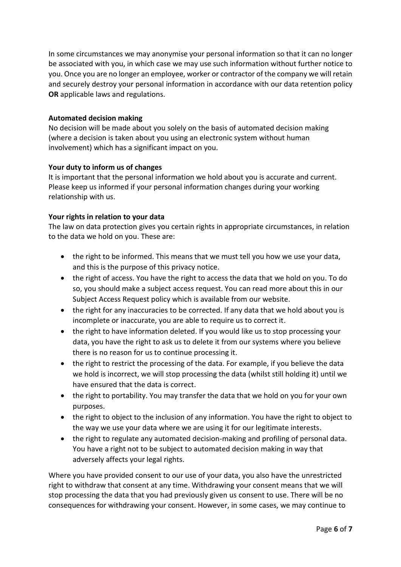In some circumstances we may anonymise your personal information so that it can no longer be associated with you, in which case we may use such information without further notice to you. Once you are no longer an employee, worker or contractor of the company we will retain and securely destroy your personal information in accordance with our data retention policy **OR** applicable laws and regulations.

## **Automated decision making**

No decision will be made about you solely on the basis of automated decision making (where a decision is taken about you using an electronic system without human involvement) which has a significant impact on you.

## **Your duty to inform us of changes**

It is important that the personal information we hold about you is accurate and current. Please keep us informed if your personal information changes during your working relationship with us.

## **Your rights in relation to your data**

The law on data protection gives you certain rights in appropriate circumstances, in relation to the data we hold on you. These are:

- the right to be informed. This means that we must tell you how we use your data, and this is the purpose of this privacy notice.
- the right of access. You have the right to access the data that we hold on you. To do so, you should make a subject access request. You can read more about this in our Subject Access Request policy which is available from our website.
- the right for any inaccuracies to be corrected. If any data that we hold about you is incomplete or inaccurate, you are able to require us to correct it.
- the right to have information deleted. If you would like us to stop processing your data, you have the right to ask us to delete it from our systems where you believe there is no reason for us to continue processing it.
- the right to restrict the processing of the data. For example, if you believe the data we hold is incorrect, we will stop processing the data (whilst still holding it) until we have ensured that the data is correct.
- the right to portability. You may transfer the data that we hold on you for your own purposes.
- the right to object to the inclusion of any information. You have the right to object to the way we use your data where we are using it for our legitimate interests.
- the right to regulate any automated decision-making and profiling of personal data. You have a right not to be subject to automated decision making in way that adversely affects your legal rights.

Where you have provided consent to our use of your data, you also have the unrestricted right to withdraw that consent at any time. Withdrawing your consent means that we will stop processing the data that you had previously given us consent to use. There will be no consequences for withdrawing your consent. However, in some cases, we may continue to